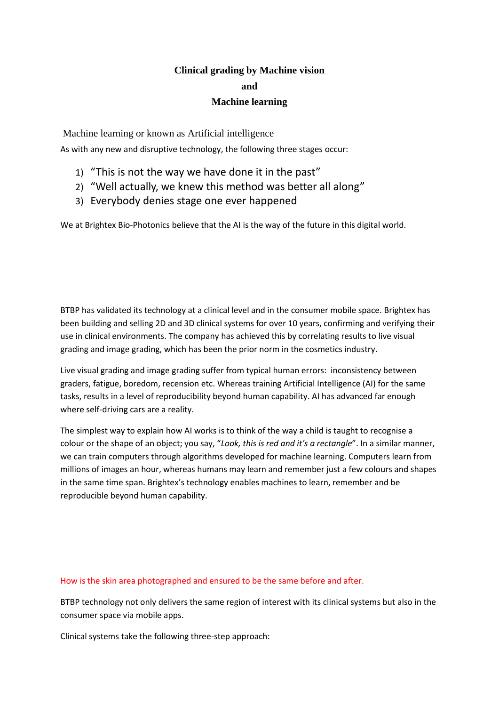## **Clinical grading by Machine vision and**

## **Machine learning**

Machine learning or known as Artificial intelligence

As with any new and disruptive technology, the following three stages occur:

- 1) "This is not the way we have done it in the past"
- 2) "Well actually, we knew this method was better all along"
- 3) Everybody denies stage one ever happened

We at Brightex Bio-Photonics believe that the AI is the way of the future in this digital world.

BTBP has validated its technology at a clinical level and in the consumer mobile space. Brightex has been building and selling 2D and 3D clinical systems for over 10 years, confirming and verifying their use in clinical environments. The company has achieved this by correlating results to live visual grading and image grading, which has been the prior norm in the cosmetics industry.

Live visual grading and image grading suffer from typical human errors: inconsistency between graders, fatigue, boredom, recension etc. Whereas training Artificial Intelligence (AI) for the same tasks, results in a level of reproducibility beyond human capability. AI has advanced far enough where self-driving cars are a reality.

The simplest way to explain how AI works is to think of the way a child is taught to recognise a colour or the shape of an object; you say, "*Look, this is red and it's a rectangle*". In a similar manner, we can train computers through algorithms developed for machine learning. Computers learn from millions of images an hour, whereas humans may learn and remember just a few colours and shapes in the same time span. Brightex's technology enables machines to learn, remember and be reproducible beyond human capability.

## How is the skin area photographed and ensured to be the same before and after.

BTBP technology not only delivers the same region of interest with its clinical systems but also in the consumer space via mobile apps.

Clinical systems take the following three-step approach: